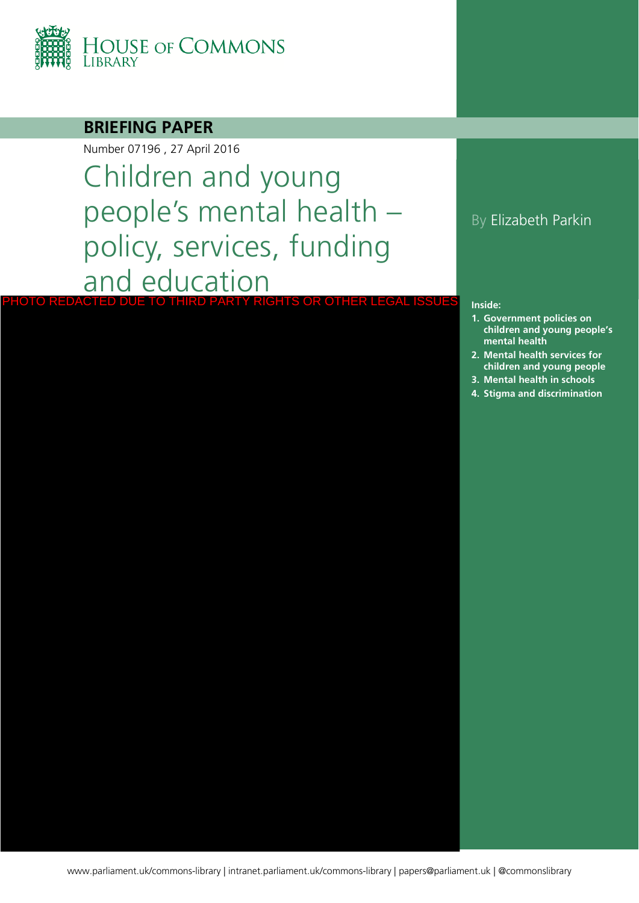

### **BRIEFING PAPER**

Number 07196 , 27 April 2016

Children and young people's mental health – policy, services, funding and education PHOTO REDACTED DUE TO THIRD PARTY RIGHTS OR OTHER LEGAL ISSUES

### By Elizabeth Parkin

#### **Inside:**

- **1. Government policies on children and young people's mental health**
- **2. Mental health services for children and young people**
- **3. [Mental health in schools](#page-14-0)**
- **4. [Stigma and discrimination](#page-17-0)**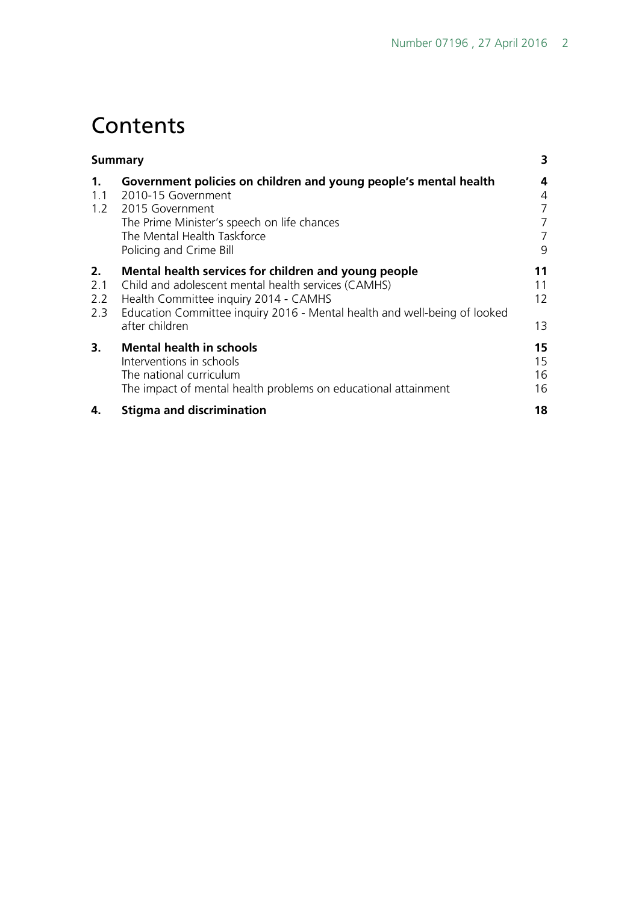# **Contents**

| Summary                 |                                                                                                                                                                                                                                                     | 3                     |
|-------------------------|-----------------------------------------------------------------------------------------------------------------------------------------------------------------------------------------------------------------------------------------------------|-----------------------|
| $\mathbf 1$ .<br>1.1    | Government policies on children and young people's mental health<br>2010-15 Government<br>1.2 2015 Government<br>The Prime Minister's speech on life chances<br>The Mental Health Taskforce<br>Policing and Crime Bill                              | 4<br>4<br>7<br>7<br>9 |
| 2.<br>2.1<br>2.2<br>2.3 | Mental health services for children and young people<br>Child and adolescent mental health services (CAMHS)<br>Health Committee inquiry 2014 - CAMHS<br>Education Committee inquiry 2016 - Mental health and well-being of looked<br>after children | 11<br>11<br>12<br>13  |
| 3.                      | <b>Mental health in schools</b><br>Interventions in schools<br>The national curriculum<br>The impact of mental health problems on educational attainment                                                                                            | 15<br>15<br>16<br>16  |
| 4.                      | <b>Stigma and discrimination</b>                                                                                                                                                                                                                    | 18                    |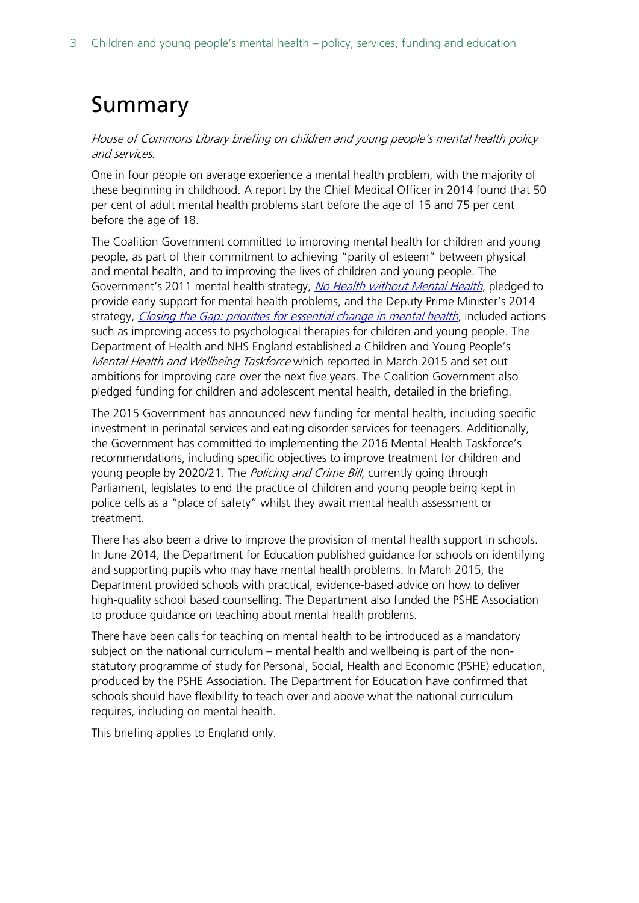# <span id="page-2-0"></span>Summary

House of Commons Library briefing on children and young people's mental health policy and services.

One in four people on average experience a mental health problem, with the majority of these beginning in childhood. A report by the Chief Medical Officer in 2014 found that 50 per cent of adult mental health problems start before the age of 15 and 75 per cent before the age of 18.

The Coalition Government committed to improving mental health for children and young people, as part of their commitment to achieving "parity of esteem" between physical and mental health, and to improving the lives of children and young people. The Government's 2011 mental health strategy, [No Health without Mental Health](https://www.gov.uk/government/publications/the-mental-health-strategy-for-england), pledged to provide early support for mental health problems, and the Deputy Prime Minister's 2014 strategy, [Closing the Gap: priorities for essential change in mental health](https://www.gov.uk/government/uploads/system/uploads/attachment_data/file/281250/Closing_the_gap_V2_-_17_Feb_2014.pdf), included actions such as improving access to psychological therapies for children and young people. The Department of Health and NHS England established a Children and Young People's Mental Health and Wellbeing Taskforce which reported in March 2015 and set out ambitions for improving care over the next five years. The Coalition Government also pledged funding for children and adolescent mental health, detailed in the briefing.

The 2015 Government has announced new funding for mental health, including specific investment in perinatal services and eating disorder services for teenagers. Additionally, the Government has committed to implementing the 2016 Mental Health Taskforce's recommendations, including specific objectives to improve treatment for children and young people by 2020/21. The *Policing and Crime Bill*, currently going through Parliament, legislates to end the practice of children and young people being kept in police cells as a "place of safety" whilst they await mental health assessment or treatment.

There has also been a drive to improve the provision of mental health support in schools. In June 2014, the Department for Education published guidance for schools on identifying and supporting pupils who may have mental health problems. In March 2015, the Department provided schools with practical, evidence-based advice on how to deliver high-quality school based counselling. The Department also funded the PSHE Association to produce guidance on teaching about mental health problems.

There have been calls for teaching on mental health to be introduced as a mandatory subject on the national curriculum – mental health and wellbeing is part of the nonstatutory programme of study for Personal, Social, Health and Economic (PSHE) education, produced by the PSHE Association. The Department for Education have confirmed that schools should have flexibility to teach over and above what the national curriculum requires, including on mental health.

This briefing applies to England only.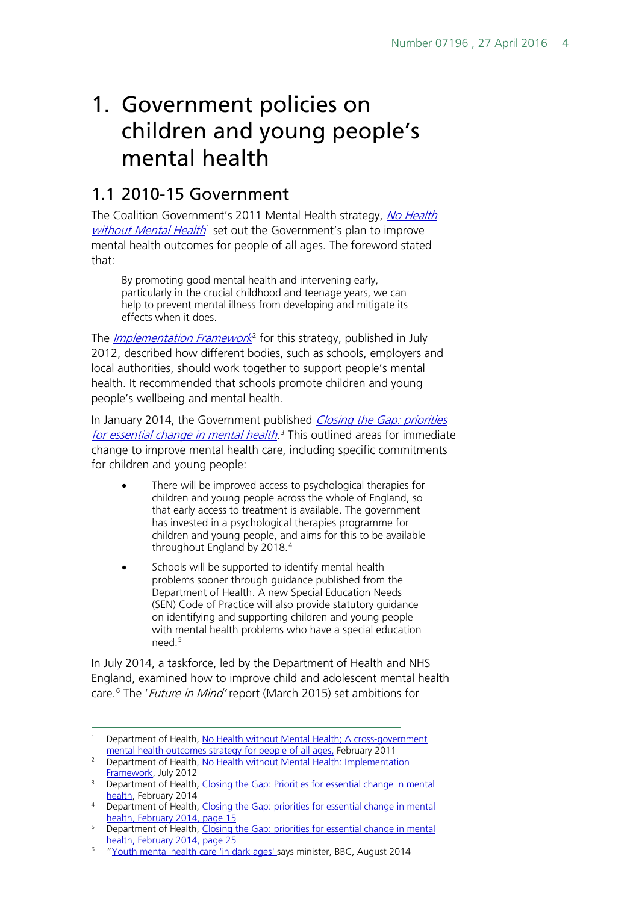# <span id="page-3-0"></span>1. Government policies on children and young people's mental health

## <span id="page-3-1"></span>1.1 2010-15 Government

The Coalition Government's 2011 Mental Health strategy, No Health [without Mental Health](https://www.gov.uk/government/publications/the-mental-health-strategy-for-england)<sup>[1](#page-3-2)</sup> set out the Government's plan to improve mental health outcomes for people of all ages. The foreword stated that:

By promoting good mental health and intervening early, particularly in the crucial childhood and teenage years, we can help to prevent mental illness from developing and mitigate its effects when it does.

The *[Implementation Framework](https://www.gov.uk/government/uploads/system/uploads/attachment_data/file/216870/No-Health-Without-Mental-Health-Implementation-Framework-Report-accessible-version.pdf)*<sup>[2](#page-3-3)</sup> for this strategy, published in July 2012, described how different bodies, such as schools, employers and local authorities, should work together to support people's mental health. It recommended that schools promote children and young people's wellbeing and mental health.

In January 2014, the Government published Closing the Gap: priorities [for essential change in mental health.](https://www.gov.uk/government/uploads/system/uploads/attachment_data/file/281250/Closing_the_gap_V2_-_17_Feb_2014.pdf)<sup>[3](#page-3-4)</sup> This outlined areas for immediate change to improve mental health care, including specific commitments for children and young people:

- There will be improved access to psychological therapies for children and young people across the whole of England, so that early access to treatment is available. The government has invested in a psychological therapies programme for children and young people, and aims for this to be available throughout England by 2018.[4](#page-3-5)
- Schools will be supported to identify mental health problems sooner through guidance published from the Department of Health. A new Special Education Needs (SEN) Code of Practice will also provide statutory guidance on identifying and supporting children and young people with mental health problems who have a special education need<sup>[5](#page-3-6)</sup>

In July 2014, a taskforce, led by the Department of Health and NHS England, examined how to improve child and adolescent mental health care.<sup>[6](#page-3-7)</sup> The '*Future in Mind'* report (March 2015) set ambitions for

<span id="page-3-2"></span><sup>&</sup>lt;sup>1</sup> Department of Health, No Health without Mental Health; A cross-government [mental health outcomes strategy for people of all ages,](https://www.gov.uk/government/publications/the-mental-health-strategy-for-england) February 2011

<span id="page-3-3"></span><sup>&</sup>lt;sup>2</sup> Department of Health, No Health without Mental Health: Implementation [Framework,](https://www.gov.uk/government/uploads/system/uploads/attachment_data/file/216870/No-Health-Without-Mental-Health-Implementation-Framework-Report-accessible-version.pdf) July 2012

<span id="page-3-4"></span><sup>&</sup>lt;sup>3</sup> Department of Health, Closing the Gap: Priorities for essential change in mental [health,](https://www.gov.uk/government/uploads/system/uploads/attachment_data/file/281250/Closing_the_gap_V2_-_17_Feb_2014.pdf) February 2014

<span id="page-3-5"></span><sup>4</sup> Department of Health, Closing the Gap: priorities for essential change in mental [health,](https://www.gov.uk/government/uploads/system/uploads/attachment_data/file/281250/Closing_the_gap_V2_-_17_Feb_2014.pdf) February 2014, page 15

<span id="page-3-6"></span><sup>&</sup>lt;sup>5</sup> Department of Health, Closing the Gap: priorities for essential change in mental [health,](https://www.gov.uk/government/uploads/system/uploads/attachment_data/file/281250/Closing_the_gap_V2_-_17_Feb_2014.pdf) February 2014, page 25

<span id="page-3-7"></span><sup>&</sup>lt;sup>6</sup> ["Youth mental health care 'in dark ages'](http://www.bbc.co.uk/news/health-28851443) says minister, BBC, August 2014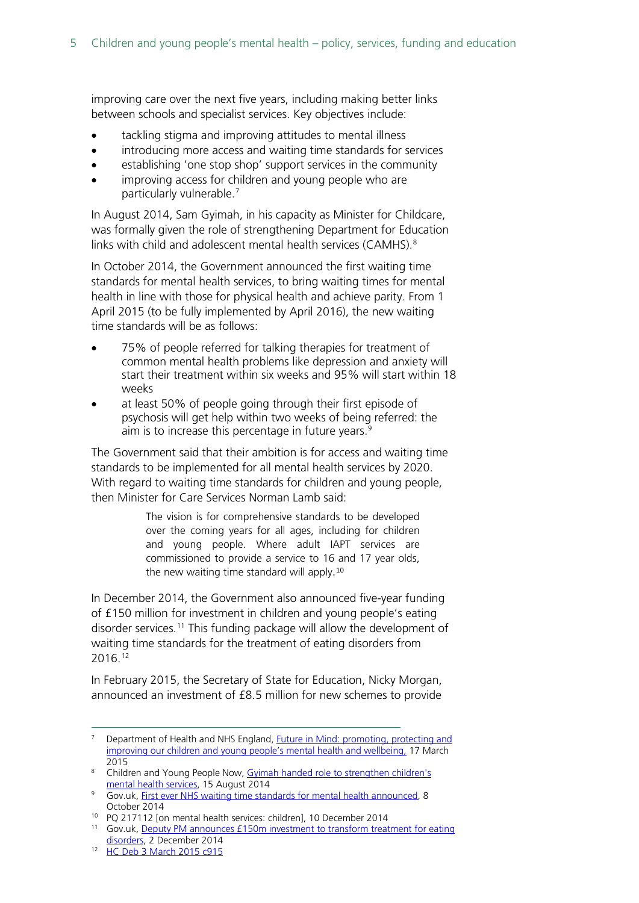improving care over the next five years, including making better links between schools and specialist services. Key objectives include:

- tackling stigma and improving attitudes to mental illness
- introducing more access and waiting time standards for services
- establishing 'one stop shop' support services in the community
- improving access for children and young people who are particularly vulnerable.<sup>[7](#page-4-0)</sup>

In August 2014, Sam Gyimah, in his capacity as Minister for Childcare, was formally given the role of strengthening Department for Education links with child and adolescent mental health services (CAMHS).<sup>[8](#page-4-1)</sup>

In October 2014, the Government announced the first waiting time standards for mental health services, to bring waiting times for mental health in line with those for physical health and achieve parity. From 1 April 2015 (to be fully implemented by April 2016), the new waiting time standards will be as follows:

- 75% of people referred for talking therapies for treatment of common mental health problems like depression and anxiety will start their treatment within six weeks and 95% will start within 18 weeks
- at least 50% of people going through their first episode of psychosis will get help within two weeks of being referred: the aim is to increase this percentage in future years. [9](#page-4-2)

The Government said that their ambition is for access and waiting time standards to be implemented for all mental health services by 2020. With regard to waiting time standards for children and young people, then Minister for Care Services Norman Lamb said:

> The vision is for comprehensive standards to be developed over the coming years for all ages, including for children and young people. Where adult IAPT services are commissioned to provide a service to 16 and 17 year olds, the new waiting time standard will apply.[10](#page-4-3)

In December 2014, the Government also announced five-year funding of £150 million for investment in children and young people's eating disorder services.<sup>[11](#page-4-4)</sup> This funding package will allow the development of waiting time standards for the treatment of eating disorders from 2016.[12](#page-4-5)

In February 2015, the Secretary of State for Education, Nicky Morgan, announced an investment of £8.5 million for new schemes to provide

<span id="page-4-0"></span><sup>&</sup>lt;sup>7</sup> Department of Health and NHS England, Future in Mind: promoting, protecting and [improving our children and young people's mental health and wellbeing,](https://www.gov.uk/government/publications/improving-mental-health-services-for-young-people) 17 March 2015

<span id="page-4-1"></span><sup>&</sup>lt;sup>8</sup> Children and Young People Now, Gyimah handed role to strengthen children's [mental health services,](http://www.cypnow.co.uk/cyp/news/1146029/gyimah-handed-role-strengthen-childrens-mental-health-services) 15 August 2014

<span id="page-4-2"></span><sup>&</sup>lt;sup>9</sup> Gov.uk, [First ever NHS waiting time standards for mental health announced,](https://www.gov.uk/government/news/first-ever-nhs-waiting-time-standards-for-mental-health-announced) 8 October 2014

<span id="page-4-3"></span><sup>10</sup> PQ 217112 [on mental health services: children], 10 December 2014

<span id="page-4-4"></span><sup>&</sup>lt;sup>11</sup> Gov.uk, Deputy PM announces £150m investment to transform treatment for eating [disorders,](https://www.gov.uk/government/news/deputy-pm-announces-150m-investment-to-transform-treatment-for-eating-disorders) 2 December 2014

<span id="page-4-5"></span><sup>12</sup> [HC Deb 3 March 2015 c915](http://www.publications.parliament.uk/pa/cm201415/cmhansrd/cm150303/debtext/150303-0003.htm#150303119000424)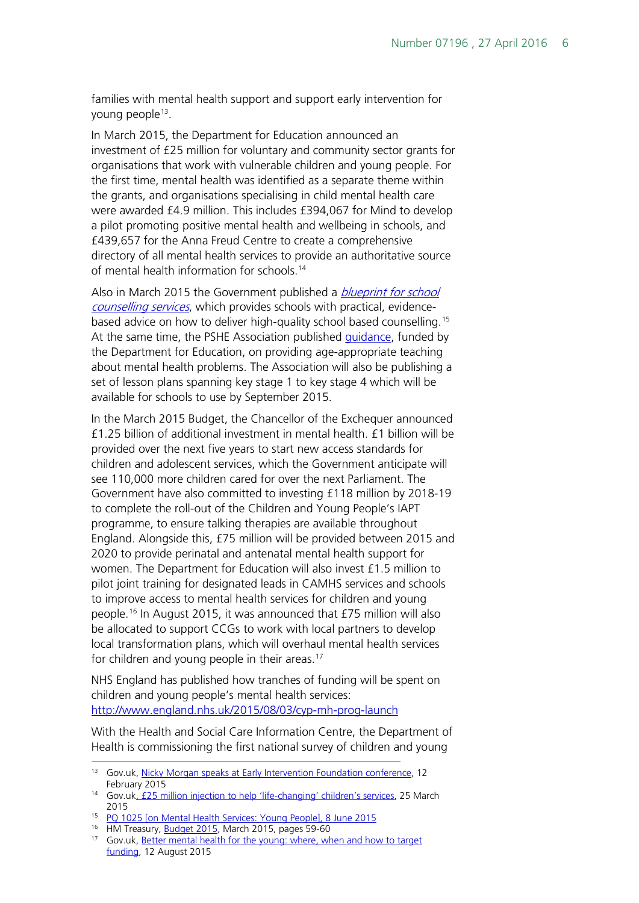families with mental health support and support early intervention for young people[13.](#page-5-0)

In March 2015, the Department for Education announced an investment of £25 million for voluntary and community sector grants for organisations that work with vulnerable children and young people. For the first time, mental health was identified as a separate theme within the grants, and organisations specialising in child mental health care were awarded £4.9 million. This includes £394,067 for Mind to develop a pilot promoting positive mental health and wellbeing in schools, and £439,657 for the Anna Freud Centre to create a comprehensive directory of all mental health services to provide an authoritative source of mental health information for schools.<sup>[14](#page-5-1)</sup>

Also in March 2015 the Government published a *blueprint for school* [counselling services](https://www.gov.uk/government/uploads/system/uploads/attachment_data/file/416326/Counselling_in_schools_-240315.pdf), which provides schools with practical, evidencebased advice on how to deliver high-quality school based counselling.[15](#page-5-2) At the same time, the PSHE Association published [guidance,](https://www.pshe-association.org.uk/news_detail.aspx?ID=1435) funded by the Department for Education, on providing age-appropriate teaching about mental health problems. The Association will also be publishing a set of lesson plans spanning key stage 1 to key stage 4 which will be available for schools to use by September 2015.

In the March 2015 Budget, the Chancellor of the Exchequer announced £1.25 billion of additional investment in mental health. £1 billion will be provided over the next five years to start new access standards for children and adolescent services, which the Government anticipate will see 110,000 more children cared for over the next Parliament. The Government have also committed to investing £118 million by 2018-19 to complete the roll-out of the Children and Young People's IAPT programme, to ensure talking therapies are available throughout England. Alongside this, £75 million will be provided between 2015 and 2020 to provide perinatal and antenatal mental health support for women. The Department for Education will also invest £1.5 million to pilot joint training for designated leads in CAMHS services and schools to improve access to mental health services for children and young people.[16](#page-5-3) In August 2015, it was announced that £75 million will also be allocated to support CCGs to work with local partners to develop local transformation plans, which will overhaul mental health services for children and young people in their areas.<sup>[17](#page-5-4)</sup>

NHS England has published how tranches of funding will be spent on children and young people's mental health services: <http://www.england.nhs.uk/2015/08/03/cyp-mh-prog-launch>

With the Health and Social Care Information Centre, the Department of Health is commissioning the first national survey of children and young

<span id="page-5-0"></span><sup>13</sup> Gov.uk, [Nicky Morgan speaks at Early Intervention Foundation conference,](https://www.gov.uk/government/speeches/nicky-morgan-speaks-at-early-intervention-foundation-conference) 12 February 2015

<span id="page-5-1"></span><sup>14</sup> Gov.u[k, £25 million injection to help 'life-changing' children's services,](https://www.gov.uk/government/news/25-million-injection-to-help-life-changing-childrens-services) 25 March 2015

<span id="page-5-2"></span><sup>&</sup>lt;sup>15</sup> [PQ 1025 \[on Mental Health Services: Young People\], 8 June 2015](http://www.parliament.uk/written-questions-answers-statements/written-question/commons/2015-06-03/1025)

<sup>&</sup>lt;sup>16</sup> HM Treasury, [Budget 2015,](https://www.gov.uk/government/uploads/system/uploads/attachment_data/file/413949/47881_Budget_2015_Web_Accessible.pdf) March 2015, pages 59-60

<span id="page-5-4"></span><span id="page-5-3"></span><sup>17</sup> Gov.uk, [Better mental health for the young: where, when and how to target](https://www.gov.uk/government/speeches/better-mental-health-for-the-young-where-when-and-how-to-target-funding)  [funding,](https://www.gov.uk/government/speeches/better-mental-health-for-the-young-where-when-and-how-to-target-funding) 12 August 2015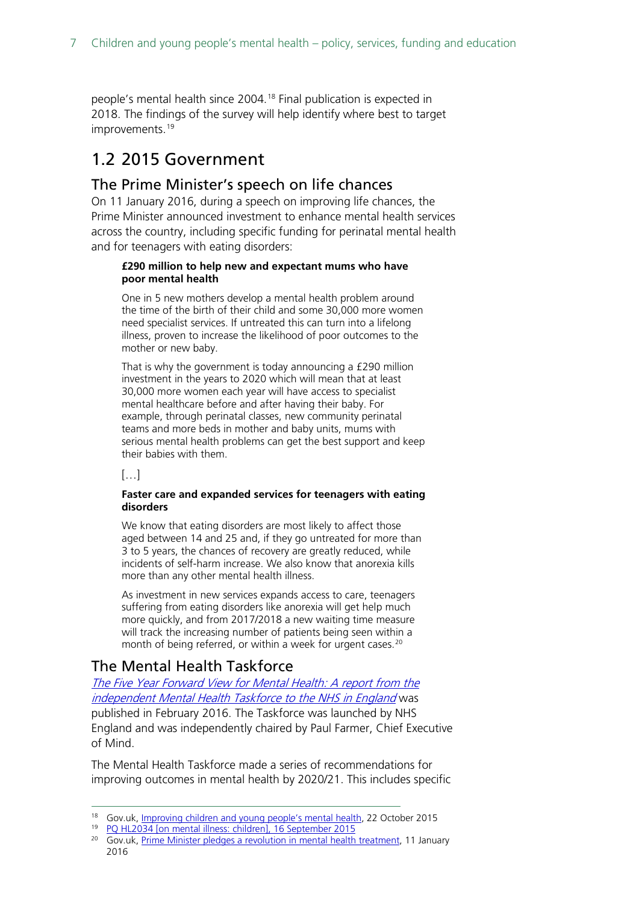people's mental health since 2004.<sup>[18](#page-6-3)</sup> Final publication is expected in 2018. The findings of the survey will help identify where best to target improvements.<sup>[19](#page-6-4)</sup>

## <span id="page-6-0"></span>1.2 2015 Government

#### <span id="page-6-1"></span>The Prime Minister's speech on life chances

On 11 January 2016, during a speech on improving life chances, the Prime Minister announced investment to enhance mental health services across the country, including specific funding for perinatal mental health and for teenagers with eating disorders:

#### **£290 million to help new and expectant mums who have poor mental health**

One in 5 new mothers develop a mental health problem around the time of the birth of their child and some 30,000 more women need specialist services. If untreated this can turn into a lifelong illness, proven to increase the likelihood of poor outcomes to the mother or new baby.

That is why the government is today announcing a £290 million investment in the years to 2020 which will mean that at least 30,000 more women each year will have access to specialist mental healthcare before and after having their baby. For example, through perinatal classes, new community perinatal teams and more beds in mother and baby units, mums with serious mental health problems can get the best support and keep their babies with them.

 $\left[\ldots\right]$ 

#### **Faster care and expanded services for teenagers with eating disorders**

We know that eating disorders are most likely to affect those aged between 14 and 25 and, if they go untreated for more than 3 to 5 years, the chances of recovery are greatly reduced, while incidents of self-harm increase. We also know that anorexia kills more than any other mental health illness.

As investment in new services expands access to care, teenagers suffering from eating disorders like anorexia will get help much more quickly, and from 2017/2018 a new waiting time measure will track the increasing number of patients being seen within a month of being referred, or within a week for urgent cases.<sup>[20](#page-6-5)</sup>

### <span id="page-6-2"></span>The Mental Health Taskforce

[The Five Year Forward View for Mental Health: A report from the](https://www.england.nhs.uk/wp-content/uploads/2016/02/Mental-Health-Taskforce-FYFV-final.pdf)  [independent Mental Health Taskforce to the NHS in England](https://www.england.nhs.uk/wp-content/uploads/2016/02/Mental-Health-Taskforce-FYFV-final.pdf) was published in February 2016. The Taskforce was launched by NHS England and was independently chaired by Paul Farmer, Chief Executive of Mind.

The Mental Health Taskforce made a series of recommendations for improving outcomes in mental health by 2020/21. This includes specific

<span id="page-6-3"></span><sup>&</sup>lt;sup>18</sup> Gov.uk, [Improving children and young people's mental health,](https://www.gov.uk/government/speeches/improving-children-and-young-peoples-mental-health-care) 22 October 2015

<sup>19</sup> [PQ HL2034 \[on mental illness: children\], 16 September 2015](http://www.parliament.uk/written-questions-answers-statements/written-question/lords/2015-09-07/HL2034)

<span id="page-6-5"></span><span id="page-6-4"></span><sup>&</sup>lt;sup>20</sup> Gov.uk, [Prime Minister pledges a revolution in mental health treatment,](https://www.gov.uk/government/news/prime-minister-pledges-a-revolution-in-mental-health-treatment) 11 January 2016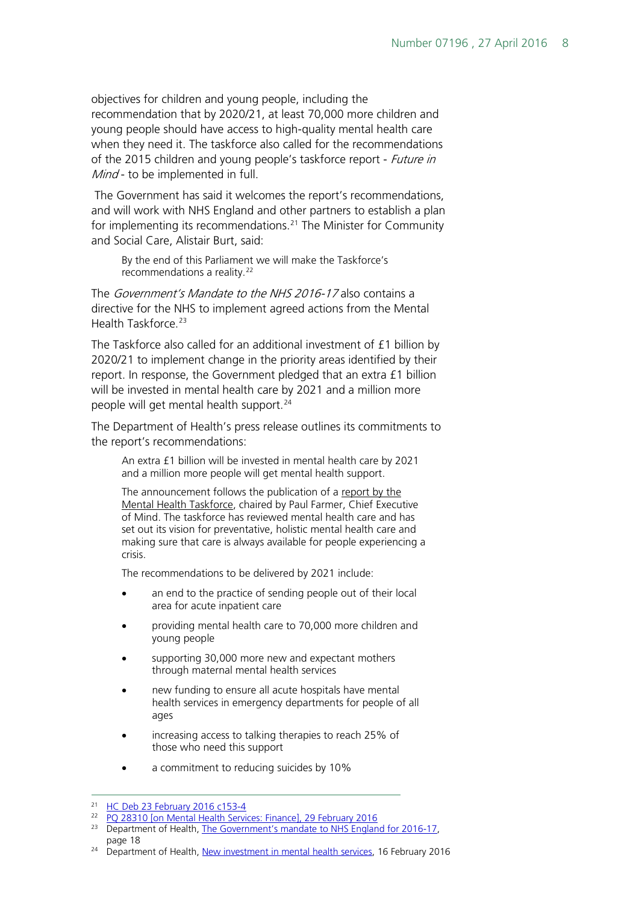objectives for children and young people, including the recommendation that by 2020/21, at least 70,000 more children and young people should have access to high-quality mental health care when they need it. The taskforce also called for the recommendations of the 2015 children and young people's taskforce report - *Future in* Mind - to be implemented in full.

The Government has said it welcomes the report's recommendations, and will work with NHS England and other partners to establish a plan for implementing its recommendations.<sup>[21](#page-7-0)</sup> The Minister for Community and Social Care, Alistair Burt, said:

By the end of this Parliament we will make the Taskforce's recommendations a reality.<sup>[22](#page-7-1)</sup>

The Government's Mandate to the NHS 2016-17 also contains a directive for the NHS to implement agreed actions from the Mental Health Taskforce.<sup>[23](#page-7-2)</sup>

The Taskforce also called for an additional investment of £1 billion by 2020/21 to implement change in the priority areas identified by their report. In response, the Government pledged that an extra £1 billion will be invested in mental health care by 2021 and a million more people will get mental health support.<sup>[24](#page-7-3)</sup>

The Department of Health's press release outlines its commitments to the report's recommendations:

An extra £1 billion will be invested in mental health care by 2021 and a million more people will get mental health support.

The announcement follows the publication of a report by the [Mental Health Taskforce,](https://www.england.nhs.uk/2016/02/fyfv-mh/) chaired by Paul Farmer, Chief Executive of Mind. The taskforce has reviewed mental health care and has set out its vision for preventative, holistic mental health care and making sure that care is always available for people experiencing a crisis.

The recommendations to be delivered by 2021 include:

- an end to the practice of sending people out of their local area for acute inpatient care
- providing mental health care to 70,000 more children and young people
- supporting 30,000 more new and expectant mothers through maternal mental health services
- new funding to ensure all acute hospitals have mental health services in emergency departments for people of all ages
- increasing access to talking therapies to reach 25% of those who need this support
- a commitment to reducing suicides by 10%

<span id="page-7-3"></span><sup>24</sup> Department of Health, [New investment in mental health services,](https://www.gov.uk/government/news/new-investment-in-mental-health-services) 16 February 2016

<span id="page-7-1"></span><span id="page-7-0"></span> <sup>21</sup> [HC Deb 23 February 2016 c153-4](http://www.publications.parliament.uk/pa/cm201516/cmhansrd/cm160223/debtext/160223-0001.htm#16022349000201)

<sup>22</sup> [PQ 28310 \[on Mental Health Services: Finance\], 29 February 2016](http://www.parliament.uk/written-questions-answers-statements/written-question/commons/2016-02-24/28310)

<span id="page-7-2"></span><sup>&</sup>lt;sup>23</sup> Department of Health, [The Government's mandate to NHS England for 2016-17,](https://www.gov.uk/government/uploads/system/uploads/attachment_data/file/494485/NHSE_mandate_16-17_22_Jan.pdf) page 18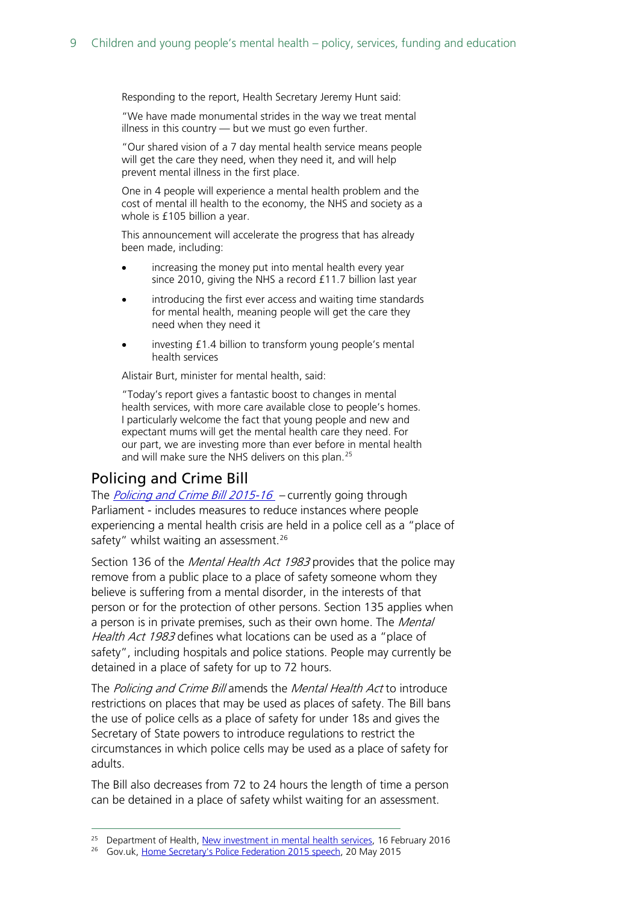Responding to the report, Health Secretary Jeremy Hunt said:

"We have made monumental strides in the way we treat mental illness in this country — but we must go even further.

"Our shared vision of a 7 day mental health service means people will get the care they need, when they need it, and will help prevent mental illness in the first place.

One in 4 people will experience a mental health problem and the cost of mental ill health to the economy, the NHS and society as a whole is £105 billion a year.

This announcement will accelerate the progress that has already been made, including:

- increasing the money put into mental health every year since 2010, giving the NHS a record £11.7 billion last year
- introducing the first ever access and waiting time standards for mental health, meaning people will get the care they need when they need it
- investing £1.4 billion to transform young people's mental health services

Alistair Burt, minister for mental health, said:

"Today's report gives a fantastic boost to changes in mental health services, with more care available close to people's homes. I particularly welcome the fact that young people and new and expectant mums will get the mental health care they need. For our part, we are investing more than ever before in mental health and will make sure the NHS delivers on this plan.<sup>[25](#page-8-1)</sup>

#### <span id="page-8-0"></span>Policing and Crime Bill

The *[Policing and Crime Bill](http://services.parliament.uk/bills/2015-16/policingandcrime.html) 2015-16* – currently going through Parliament - includes measures to reduce instances where people experiencing a mental health crisis are held in a police cell as a "place of safety" whilst waiting an assessment.<sup>[26](#page-8-2)</sup>

Section 136 of the *Mental Health Act 1983* provides that the police may remove from a public place to a place of safety someone whom they believe is suffering from a mental disorder, in the interests of that person or for the protection of other persons. Section 135 applies when a person is in private premises, such as their own home. The *Mental* Health Act 1983 defines what locations can be used as a "place of safety", including hospitals and police stations. People may currently be detained in a place of safety for up to 72 hours.

The *Policing and Crime Bill* amends the *Mental Health Act* to introduce restrictions on places that may be used as places of safety. The Bill bans the use of police cells as a place of safety for under 18s and gives the Secretary of State powers to introduce regulations to restrict the circumstances in which police cells may be used as a place of safety for adults.

The Bill also decreases from 72 to 24 hours the length of time a person can be detained in a place of safety whilst waiting for an assessment.

<span id="page-8-1"></span><sup>&</sup>lt;sup>25</sup> Department of Health, [New investment in mental health services,](https://www.gov.uk/government/news/new-investment-in-mental-health-services) 16 February 2016

<span id="page-8-2"></span><sup>&</sup>lt;sup>26</sup> Gov.uk, [Home Secretary's Police Federation 2015 speech,](https://www.gov.uk/government/speeches/home-secretarys-police-federation-2015-speech) 20 May 2015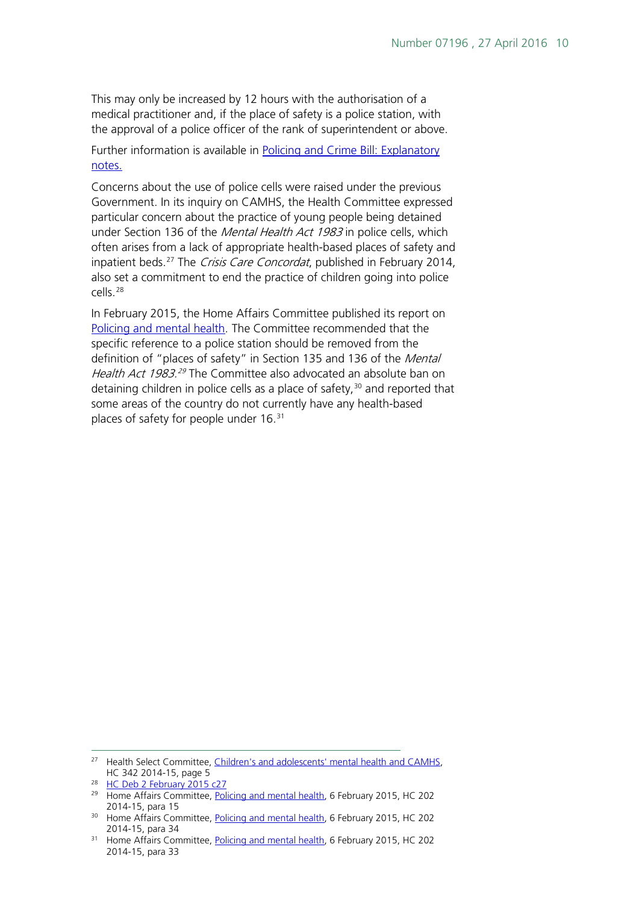This may only be increased by 12 hours with the authorisation of a medical practitioner and, if the place of safety is a police station, with the approval of a police officer of the rank of superintendent or above.

Further information is available in [Policing and Crime Bill: Explanatory](http://www.publications.parliament.uk/pa/bills/cbill/2015-2016/0134/en/16134en.pdf)  [notes.](http://www.publications.parliament.uk/pa/bills/cbill/2015-2016/0134/en/16134en.pdf)

Concerns about the use of police cells were raised under the previous Government. In its inquiry on CAMHS, the Health Committee expressed particular concern about the practice of young people being detained under Section 136 of the *Mental Health Act 1983* in police cells, which often arises from a lack of appropriate health-based places of safety and inpatient beds.<sup>[27](#page-9-0)</sup> The *Crisis Care Concordat*, published in February 2014, also set a commitment to end the practice of children going into police cells.[28](#page-9-1)

In February 2015, the Home Affairs Committee published its report on [Policing and mental health.](http://www.publications.parliament.uk/pa/cm201415/cmselect/cmhaff/202/202.pdf) The Committee recommended that the specific reference to a police station should be removed from the definition of "places of safety" in Section 135 and 136 of the Mental Health Act 1983.<sup>[29](#page-9-2)</sup> The Committee also advocated an absolute ban on detaining children in police cells as a place of safety,  $30$  and reported that some areas of the country do not currently have any health-based places of safety for people under 16.<sup>[31](#page-9-4)</sup>

<span id="page-9-0"></span><sup>&</sup>lt;sup>27</sup> Health Select Committee, Children's and adolescents' mental health and CAMHS, HC 342 2014-15, page 5

<span id="page-9-1"></span><sup>&</sup>lt;sup>28</sup> [HC Deb 2 February 2015 c27](http://www.publications.parliament.uk/pa/cm201415/cmhansrd/cm150202/debtext/150202-0001.htm#1502023000003)

<span id="page-9-2"></span><sup>&</sup>lt;sup>29</sup> Home Affairs Committee, [Policing and mental health,](http://www.publications.parliament.uk/pa/cm201415/cmselect/cmhaff/202/202.pdf) 6 February 2015, HC 202 2014-15, para 15

<span id="page-9-3"></span><sup>&</sup>lt;sup>30</sup> Home Affairs Committee, [Policing and mental health,](http://www.publications.parliament.uk/pa/cm201415/cmselect/cmhaff/202/202.pdf) 6 February 2015, HC 202 2014-15, para 34

<span id="page-9-4"></span><sup>&</sup>lt;sup>31</sup> Home Affairs Committee, [Policing and mental health,](http://www.publications.parliament.uk/pa/cm201415/cmselect/cmhaff/202/202.pdf) 6 February 2015, HC 202 2014-15, para 33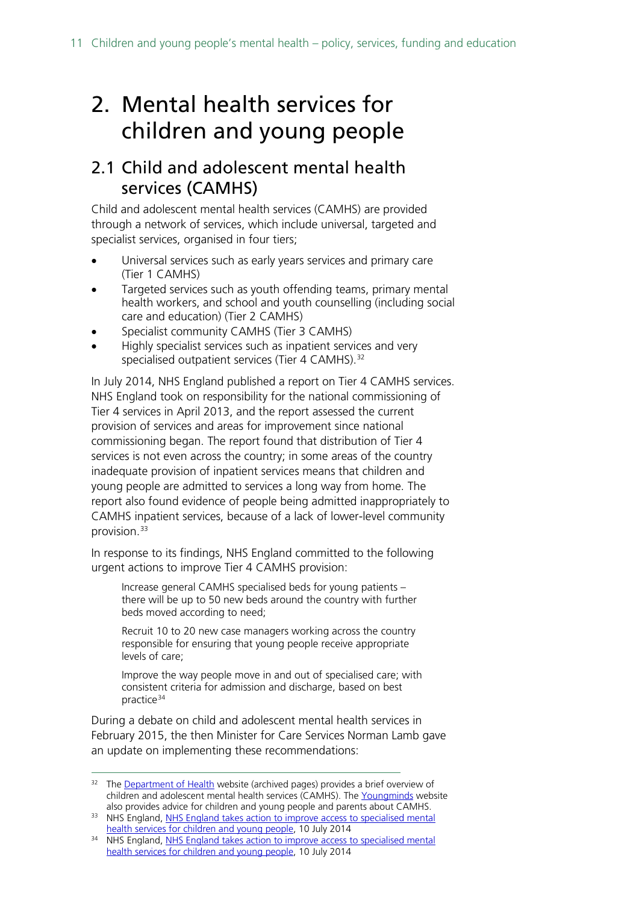# <span id="page-10-0"></span>2. Mental health services for children and young people

## <span id="page-10-1"></span>2.1 Child and adolescent mental health services (CAMHS)

Child and adolescent mental health services (CAMHS) are provided through a network of services, which include universal, targeted and specialist services, organised in four tiers;

- Universal services such as early years services and primary care (Tier 1 CAMHS)
- Targeted services such as youth offending teams, primary mental health workers, and school and youth counselling (including social care and education) (Tier 2 CAMHS)
- Specialist community CAMHS (Tier 3 CAMHS)
- Highly specialist services such as inpatient services and very specialised outpatient services (Tier 4 CAMHS).<sup>[32](#page-10-2)</sup>

In July 2014, NHS England published a report on Tier 4 CAMHS services. NHS England took on responsibility for the national commissioning of Tier 4 services in April 2013, and the report assessed the current provision of services and areas for improvement since national commissioning began. The report found that distribution of Tier 4 services is not even across the country; in some areas of the country inadequate provision of inpatient services means that children and young people are admitted to services a long way from home. The report also found evidence of people being admitted inappropriately to CAMHS inpatient services, because of a lack of lower-level community provision.<sup>[33](#page-10-3)</sup>

In response to its findings, NHS England committed to the following urgent actions to improve Tier 4 CAMHS provision:

Increase general CAMHS specialised beds for young patients – there will be up to 50 new beds around the country with further beds moved according to need;

Recruit 10 to 20 new case managers working across the country responsible for ensuring that young people receive appropriate levels of care;

Improve the way people move in and out of specialised care; with consistent criteria for admission and discharge, based on best practice<sup>[34](#page-10-4)</sup>

During a debate on child and adolescent mental health services in February 2015, the then Minister for Care Services Norman Lamb gave an update on implementing these recommendations:

<span id="page-10-2"></span><sup>&</sup>lt;sup>32</sup> The [Department of Health](https://www.gov.uk/government/organisations/department-of-health) website (archived pages) provides a brief overview of children and adolescent mental health services (CAMHS). The [Youngminds](http://www.youngminds.org.uk/) website also provides advice for children and young people and parents about CAMHS.

<span id="page-10-3"></span><sup>33</sup> NHS England, NHS England takes action to improve access to specialised mental [health services for children and young people,](http://www.england.nhs.uk/2014/07/10/camhs-report/) 10 July 2014

<span id="page-10-4"></span><sup>&</sup>lt;sup>34</sup> NHS England, NHS England takes action to improve access to specialised mental [health services for children and young people,](http://www.england.nhs.uk/2014/07/10/camhs-report/) 10 July 2014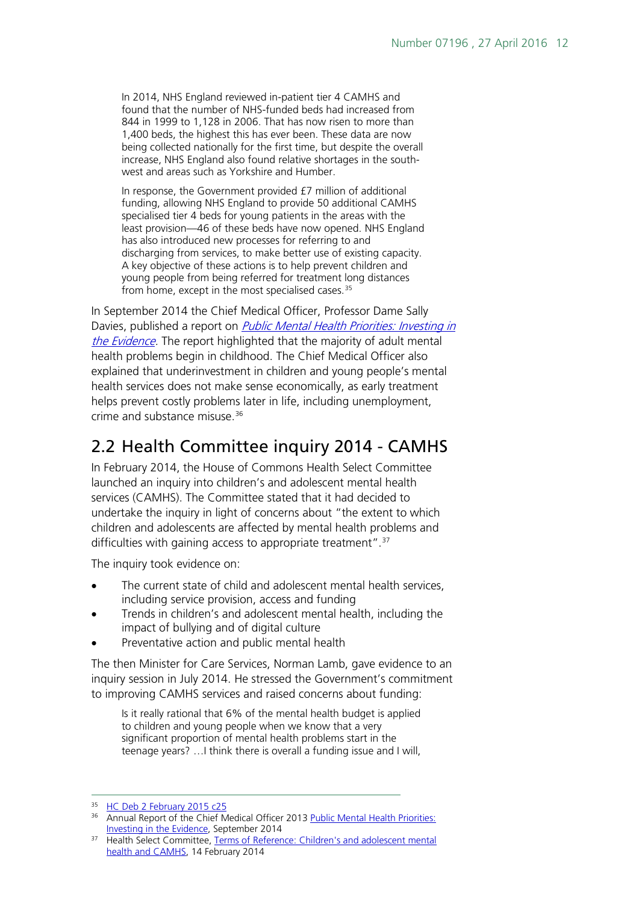In 2014, NHS England reviewed in-patient tier 4 CAMHS and found that the number of NHS-funded beds had increased from 844 in 1999 to 1,128 in 2006. That has now risen to more than 1,400 beds, the highest this has ever been. These data are now being collected nationally for the first time, but despite the overall increase, NHS England also found relative shortages in the southwest and areas such as Yorkshire and Humber.

In response, the Government provided £7 million of additional funding, allowing NHS England to provide 50 additional CAMHS specialised tier 4 beds for young patients in the areas with the least provision—46 of these beds have now opened. NHS England has also introduced new processes for referring to and discharging from services, to make better use of existing capacity. A key objective of these actions is to help prevent children and young people from being referred for treatment long distances from home, except in the most specialised cases. $35$ 

In September 2014 the Chief Medical Officer, Professor Dame Sally Davies, published a report on **Public Mental Health Priorities: Investing in** [the Evidence.](https://www.gov.uk/government/uploads/system/uploads/attachment_data/file/351629/Annual_report_2013_1.pdf) The report highlighted that the majority of adult mental health problems begin in childhood. The Chief Medical Officer also explained that underinvestment in children and young people's mental health services does not make sense economically, as early treatment helps prevent costly problems later in life, including unemployment, crime and substance misuse.[36](#page-11-2)

# <span id="page-11-0"></span>2.2 Health Committee inquiry 2014 - CAMHS

In February 2014, the House of Commons Health Select Committee launched an inquiry into children's and adolescent mental health services (CAMHS). The Committee stated that it had decided to undertake the inquiry in light of concerns about "the extent to which children and adolescents are affected by mental health problems and difficulties with gaining access to appropriate treatment".<sup>[37](#page-11-3)</sup>

The inquiry took evidence on:

- The current state of child and adolescent mental health services, including service provision, access and funding
- Trends in children's and adolescent mental health, including the impact of bullying and of digital culture
- Preventative action and public mental health

The then Minister for Care Services, Norman Lamb, gave evidence to an inquiry session in July 2014. He stressed the Government's commitment to improving CAMHS services and raised concerns about funding:

Is it really rational that 6% of the mental health budget is applied to children and young people when we know that a very significant proportion of mental health problems start in the teenage years? …I think there is overall a funding issue and I will,

<span id="page-11-1"></span><sup>&</sup>lt;sup>35</sup> [HC Deb 2 February 2015 c25](http://www.publications.parliament.uk/pa/cm201415/cmhansrd/cm150202/debtext/150202-0001.htm#1502023000003)

<span id="page-11-2"></span><sup>36</sup> Annual Report of the Chief Medical Officer 2013 Public Mental Health Priorities: [Investing in the Evidence,](https://www.gov.uk/government/uploads/system/uploads/attachment_data/file/351629/Annual_report_2013_1.pdf) September 2014

<span id="page-11-3"></span><sup>&</sup>lt;sup>37</sup> Health Select Committee, Terms of Reference: Children's and adolescent mental [health and CAMHS,](http://www.parliament.uk/business/committees/committees-a-z/commons-select/health-committee/news/14-02-14-cmh-tor/) 14 February 2014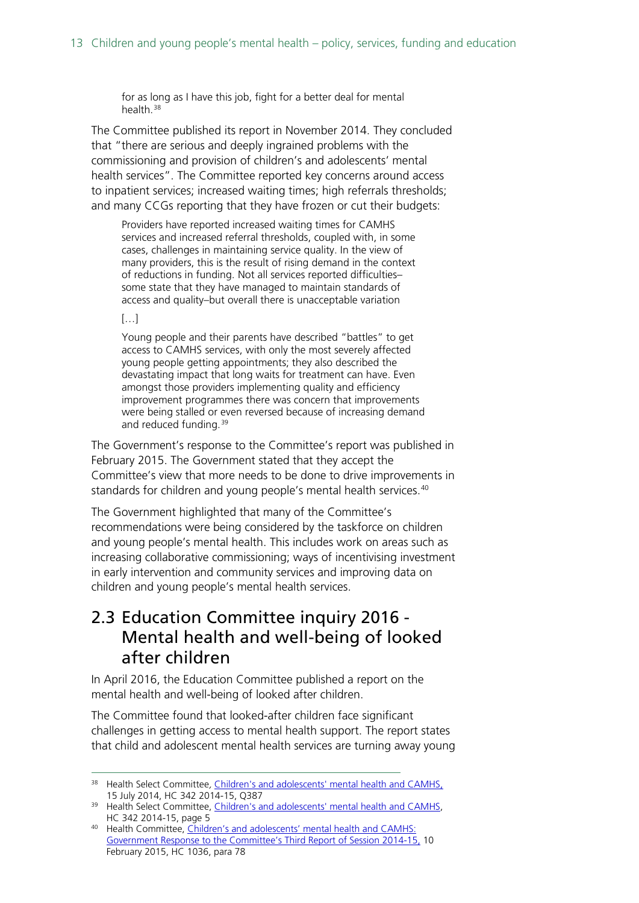for as long as I have this job, fight for a better deal for mental health.<sup>[38](#page-12-1)</sup>

The Committee published its report in November 2014. They concluded that "there are serious and deeply ingrained problems with the commissioning and provision of children's and adolescents' mental health services". The Committee reported key concerns around access to inpatient services; increased waiting times; high referrals thresholds; and many CCGs reporting that they have frozen or cut their budgets:

Providers have reported increased waiting times for CAMHS services and increased referral thresholds, coupled with, in some cases, challenges in maintaining service quality. In the view of many providers, this is the result of rising demand in the context of reductions in funding. Not all services reported difficulties– some state that they have managed to maintain standards of access and quality–but overall there is unacceptable variation

[…]

Young people and their parents have described "battles" to get access to CAMHS services, with only the most severely affected young people getting appointments; they also described the devastating impact that long waits for treatment can have. Even amongst those providers implementing quality and efficiency improvement programmes there was concern that improvements were being stalled or even reversed because of increasing demand and reduced funding.<sup>39</sup>

The Government's response to the Committee's report was published in February 2015. The Government stated that they accept the Committee's view that more needs to be done to drive improvements in standards for children and young people's mental health services.<sup>[40](#page-12-3)</sup>

The Government highlighted that many of the Committee's recommendations were being considered by the taskforce on children and young people's mental health. This includes work on areas such as increasing collaborative commissioning; ways of incentivising investment in early intervention and community services and improving data on children and young people's mental health services.

## <span id="page-12-0"></span>2.3 Education Committee inquiry 2016 - Mental health and well-being of looked after children

In April 2016, the Education Committee published a report on the mental health and well-being of looked after children.

The Committee found that looked-after children face significant challenges in getting access to mental health support. The report states that child and adolescent mental health services are turning away young

<span id="page-12-1"></span><sup>38</sup> Health Select Committee, Children's and adolescents' [mental health and CAMHS,](http://www.parliament.uk/business/committees/committees-a-z/commons-select/health-committee/inquiries/parliament-2010/cmh-2014/) 15 July 2014, HC 342 2014-15, Q387

<span id="page-12-2"></span><sup>&</sup>lt;sup>39</sup> Health Select Committee, Children's and adolescents' mental health and CAMHS, HC 342 2014-15, page 5

<span id="page-12-3"></span><sup>40</sup> Health Committee, Children's and adolescents' mental health and CAMHS: [Government Response to the Committee's Third Report of Session 2014-15,](http://www.publications.parliament.uk/pa/cm201415/cmselect/cmhealth/1036/103605.htm) 10 February 2015, HC 1036, para 78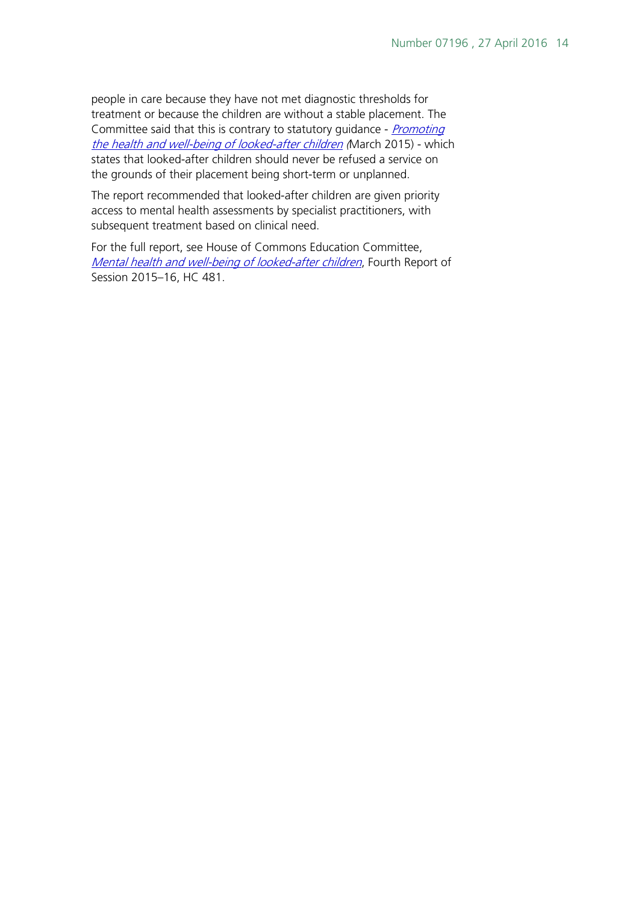people in care because they have not met diagnostic thresholds for treatment or because the children are without a stable placement. The Committee said that this is contrary to statutory quidance - *Promoting* [the health and well-being of looked-after children](https://www.gov.uk/government/publications/promoting-the-health-and-wellbeing-of-looked-after-children--2) (March 2015) - which states that looked-after children should never be refused a service on the grounds of their placement being short-term or unplanned.

The report recommended that looked-after children are given priority access to mental health assessments by specialist practitioners, with subsequent treatment based on clinical need.

For the full report, see House of Commons Education Committee, [Mental health and well-being of looked-after children](http://www.publications.parliament.uk/pa/cm201516/cmselect/cmeduc/481/481.pdf), Fourth Report of Session 2015–16, HC 481.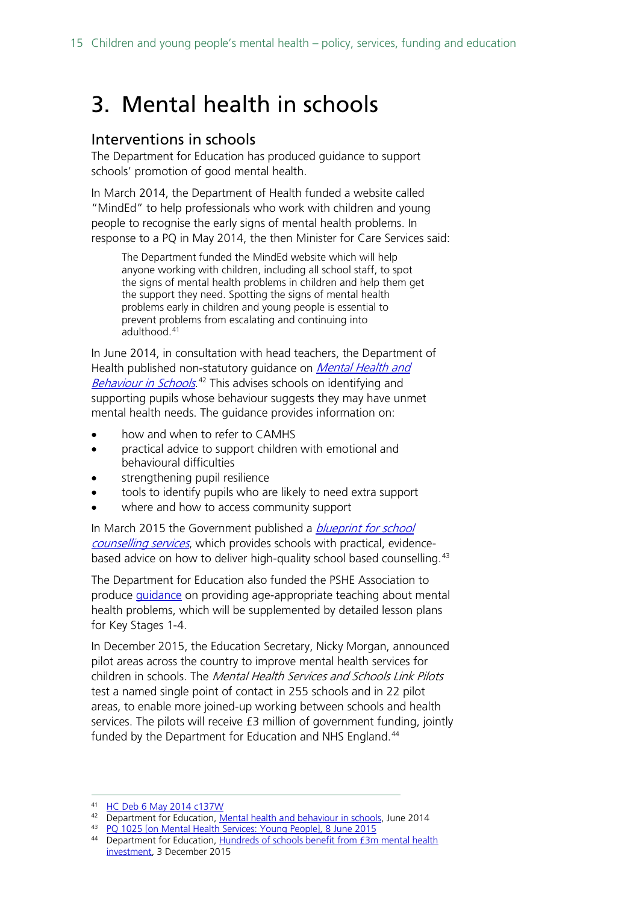# <span id="page-14-0"></span>3. Mental health in schools

#### <span id="page-14-1"></span>Interventions in schools

The Department for Education has produced guidance to support schools' promotion of good mental health.

In March 2014, the Department of Health funded a website called "MindEd" to help professionals who work with children and young people to recognise the early signs of mental health problems. In response to a PQ in May 2014, the then Minister for Care Services said:

The Department funded the MindEd website which will help anyone working with children, including all school staff, to spot the signs of mental health problems in children and help them get the support they need. Spotting the signs of mental health problems early in children and young people is essential to prevent problems from escalating and continuing into adulthood.[41](#page-14-2)

In June 2014, in consultation with head teachers, the Department of Health published non-statutory guidance on *Mental Health and* [Behaviour in Schools](https://www.gov.uk/government/publications/mental-health-and-behaviour-in-schools--2).<sup>[42](#page-14-3)</sup> This advises schools on identifying and supporting pupils whose behaviour suggests they may have unmet mental health needs. The guidance provides information on:

- how and when to refer to CAMHS
- practical advice to support children with emotional and behavioural difficulties
- strengthening pupil resilience
- tools to identify pupils who are likely to need extra support
- where and how to access community support

In March 2015 the Government published a *blueprint for school* [counselling services](https://www.gov.uk/government/uploads/system/uploads/attachment_data/file/416326/Counselling_in_schools_-240315.pdf)</u>, which provides schools with practical, evidence-based advice on how to deliver high-quality school based counselling.<sup>[43](#page-14-4)</sup>

The Department for Education also funded the PSHE Association to produce [guidance](https://www.pshe-association.org.uk/news_detail.aspx?ID=1435) on providing age-appropriate teaching about mental health problems, which will be supplemented by detailed lesson plans for Key Stages 1-4.

In December 2015, the Education Secretary, Nicky Morgan, announced pilot areas across the country to improve mental health services for children in schools. The Mental Health Services and Schools Link Pilots test a named single point of contact in 255 schools and in 22 pilot areas, to enable more joined-up working between schools and health services. The pilots will receive £3 million of government funding, jointly funded by the Department for Education and NHS England. [44](#page-14-5)

<span id="page-14-2"></span> <sup>41</sup> [HC Deb 6 May 2014 c137W](http://www.publications.parliament.uk/pa/cm201314/cmhansrd/cm140506/text/140506w0005.htm#14050775000547)

<span id="page-14-3"></span><sup>&</sup>lt;sup>42</sup> Department for Education, [Mental health and behaviour in schools,](https://www.gov.uk/government/publications/mental-health-and-behaviour-in-schools--2) June 2014

<sup>43</sup> [PQ 1025 \[on Mental Health Services: Young People\], 8 June 2015](http://www.parliament.uk/written-questions-answers-statements/written-question/commons/2015-06-03/1025)

<span id="page-14-5"></span><span id="page-14-4"></span><sup>44</sup> Department for Education, [Hundreds of schools benefit from £3m mental health](https://www.gov.uk/government/news/hundreds-of-schools-benefit-from-3m-mental-health-investment)  [investment,](https://www.gov.uk/government/news/hundreds-of-schools-benefit-from-3m-mental-health-investment) 3 December 2015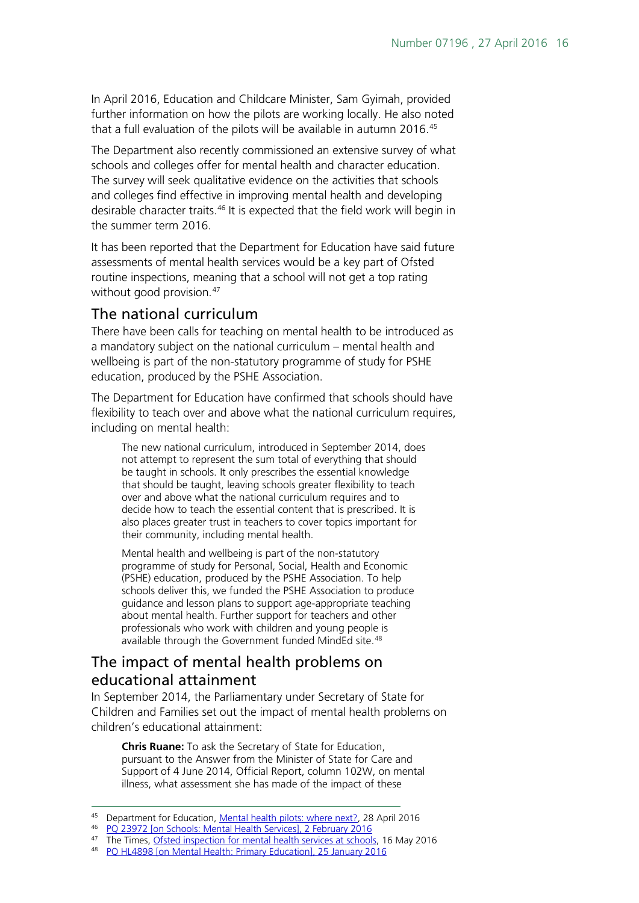In April 2016, Education and Childcare Minister, Sam Gyimah, provided further information on how the pilots are working locally. He also noted that a full evaluation of the pilots will be available in autumn 2016. [45](#page-15-2)

The Department also recently commissioned an extensive survey of what schools and colleges offer for mental health and character education. The survey will seek qualitative evidence on the activities that schools and colleges find effective in improving mental health and developing desirable character traits.<sup>[46](#page-15-3)</sup> It is expected that the field work will begin in the summer term 2016.

It has been reported that the Department for Education have said future assessments of mental health services would be a key part of Ofsted routine inspections, meaning that a school will not get a top rating without good provision.<sup>[47](#page-15-4)</sup>

#### <span id="page-15-0"></span>The national curriculum

There have been calls for teaching on mental health to be introduced as a mandatory subject on the national curriculum – mental health and wellbeing is part of the non-statutory programme of study for PSHE education, produced by the PSHE Association.

The Department for Education have confirmed that schools should have flexibility to teach over and above what the national curriculum requires, including on mental health:

The new national curriculum, introduced in September 2014, does not attempt to represent the sum total of everything that should be taught in schools. It only prescribes the essential knowledge that should be taught, leaving schools greater flexibility to teach over and above what the national curriculum requires and to decide how to teach the essential content that is prescribed. It is also places greater trust in teachers to cover topics important for their community, including mental health.

Mental health and wellbeing is part of the non-statutory programme of study for Personal, Social, Health and Economic (PSHE) education, produced by the PSHE Association. To help schools deliver this, we funded the PSHE Association to produce guidance and lesson plans to support age-appropriate teaching about mental health. Further support for teachers and other professionals who work with children and young people is available through the Government funded MindEd site.<sup>[48](#page-15-5)</sup>

### <span id="page-15-1"></span>The impact of mental health problems on educational attainment

In September 2014, the Parliamentary under Secretary of State for Children and Families set out the impact of mental health problems on children's educational attainment:

**Chris Ruane:** To ask the Secretary of State for Education, pursuant to the Answer from the Minister of State for Care and Support of 4 June 2014, Official Report, column 102W, on mental illness, what assessment she has made of the impact of these

<span id="page-15-2"></span><sup>45</sup> Department for Education, [Mental health pilots: where next?,](https://www.gov.uk/government/speeches/mental-health-pilots-where-next) 28 April 2016

<sup>46</sup> [PQ 23972 \[on Schools: Mental Health Services\], 2 February 2016](http://www.parliament.uk/written-questions-answers-statements/written-question/commons/2016-01-25/23972)

<span id="page-15-4"></span><span id="page-15-3"></span><sup>&</sup>lt;sup>47</sup> The Times, [Ofsted inspection for mental health services at schools,](http://www.thetimes.co.uk/edition/news/ofsted-inspection-for-mental-health-services-at-schools-rcnm0hpbh) 16 May 2016

<span id="page-15-5"></span><sup>48</sup> [PQ HL4898 \[on Mental Health: Primary Education\], 25 January 2016](http://www.parliament.uk/written-questions-answers-statements/written-question/lords/2016-01-11/HL4898)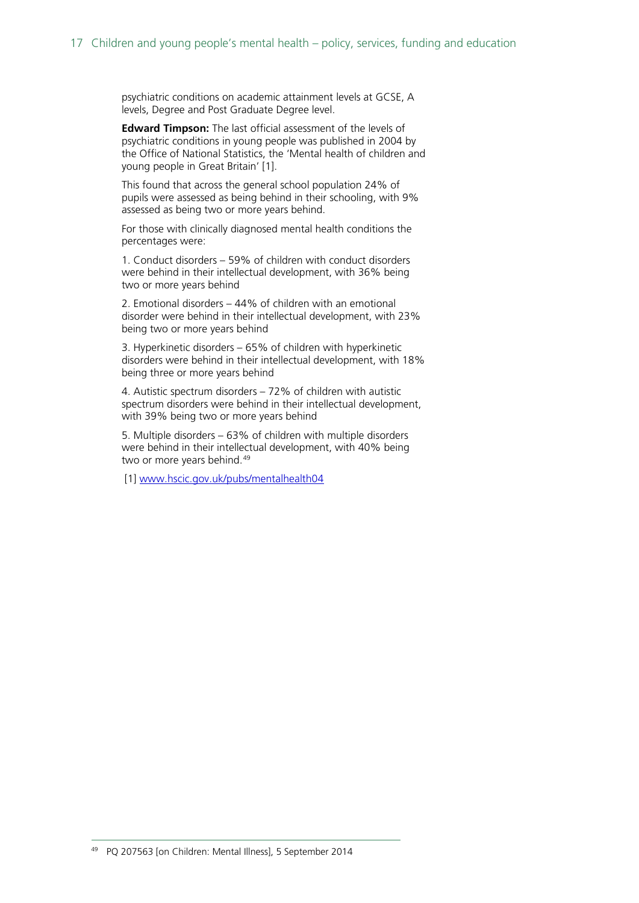psychiatric conditions on academic attainment levels at GCSE, A levels, Degree and Post Graduate Degree level.

**Edward Timpson:** The last official assessment of the levels of psychiatric conditions in young people was published in 2004 by the Office of National Statistics, the 'Mental health of children and young people in Great Britain' [1].

This found that across the general school population 24% of pupils were assessed as being behind in their schooling, with 9% assessed as being two or more years behind.

For those with clinically diagnosed mental health conditions the percentages were:

1. Conduct disorders – 59% of children with conduct disorders were behind in their intellectual development, with 36% being two or more years behind

2. Emotional disorders – 44% of children with an emotional disorder were behind in their intellectual development, with 23% being two or more years behind

3. Hyperkinetic disorders – 65% of children with hyperkinetic disorders were behind in their intellectual development, with 18% being three or more years behind

4. Autistic spectrum disorders – 72% of children with autistic spectrum disorders were behind in their intellectual development, with 39% being two or more years behind

5. Multiple disorders – 63% of children with multiple disorders were behind in their intellectual development, with 40% being two or more years behind.<sup>[49](#page-16-0)</sup>

<span id="page-16-0"></span>[1] [www.hscic.gov.uk/pubs/mentalhealth04](http://www.hscic.gov.uk/pubs/mentalhealth04)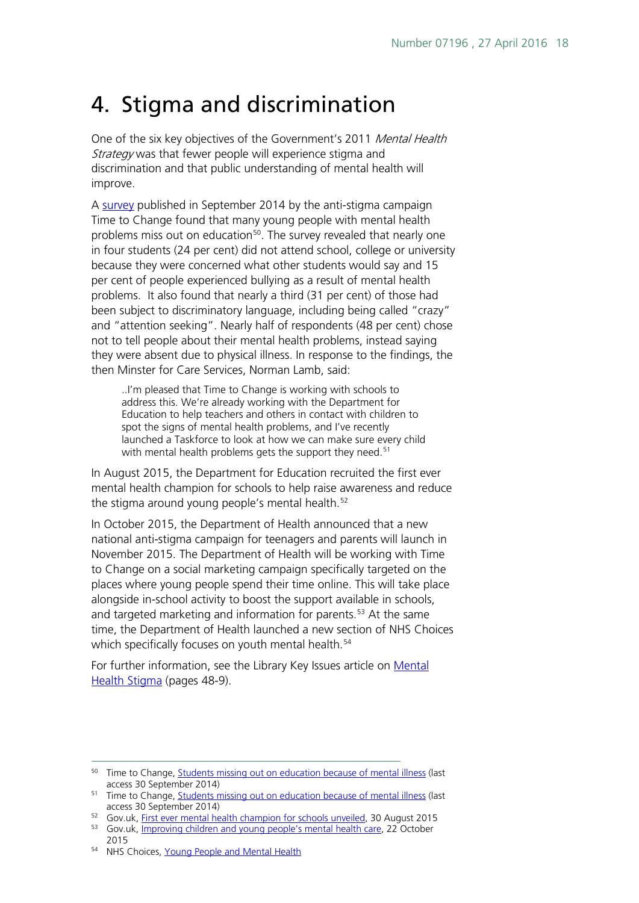# <span id="page-17-0"></span>4. Stigma and discrimination

One of the six key objectives of the Government's 2011 Mental Health Strategy was that fewer people will experience stigma and discrimination and that public understanding of mental health will improve.

A [survey](http://www.time-to-change.org.uk/news/students-missing-out-education-because-mental-illness) published in September 2014 by the anti-stigma campaign Time to Change found that many young people with mental health problems miss out on education<sup>[50](#page-17-1)</sup>. The survey revealed that nearly one in four students (24 per cent) did not attend school, college or university because they were concerned what other students would say and 15 per cent of people experienced bullying as a result of mental health problems. It also found that nearly a third (31 per cent) of those had been subject to discriminatory language, including being called "crazy" and "attention seeking". Nearly half of respondents (48 per cent) chose not to tell people about their mental health problems, instead saying they were absent due to physical illness. In response to the findings, the then Minster for Care Services, Norman Lamb, said:

..I'm pleased that Time to Change is working with schools to address this. We're already working with the Department for Education to help teachers and others in contact with children to spot the signs of mental health problems, and I've recently launched a Taskforce to look at how we can make sure every child with mental health problems gets the support they need.<sup>[51](#page-17-2)</sup>

In August 2015, the Department for Education recruited the first ever mental health champion for schools to help raise awareness and reduce the stigma around young people's mental health.<sup>[52](#page-17-3)</sup>

In October 2015, the Department of Health announced that a new national anti-stigma campaign for teenagers and parents will launch in November 2015. The Department of Health will be working with Time to Change on a social marketing campaign specifically targeted on the places where young people spend their time online. This will take place alongside in-school activity to boost the support available in schools, and targeted marketing and information for parents.<sup>[53](#page-17-4)</sup> At the same time, the Department of Health launched a new section of NHS Choices which specifically focuses on youth mental health.<sup>[54](#page-17-5)</sup>

For further information, see the Library Key Issues article on [Mental](http://researchbriefings.files.parliament.uk/documents/CBP-7189/CBP-7189.pdf)  [Health Stigma](http://researchbriefings.files.parliament.uk/documents/CBP-7189/CBP-7189.pdf) (pages 48-9).

<span id="page-17-1"></span><sup>&</sup>lt;sup>50</sup> Time to Change, [Students missing out on education because of mental illness](http://www.time-to-change.org.uk/news/students-missing-out-education-because-mental-illness) (last access 30 September 2014)

<span id="page-17-2"></span><sup>&</sup>lt;sup>51</sup> Time to Change, **Students missing out on education because of mental illness** (last access 30 September 2014)

<span id="page-17-3"></span><sup>&</sup>lt;sup>52</sup> Gov.uk, [First ever mental health champion for schools unveiled,](https://www.gov.uk/government/news/first-ever-mental-health-champion-for-schools-unveiled) 30 August 2015

<span id="page-17-4"></span><sup>&</sup>lt;sup>53</sup> Gov.uk, [Improving children and young people's mental health care,](https://www.gov.uk/government/speeches/improving-children-and-young-peoples-mental-health-care) 22 October 2015

<span id="page-17-5"></span><sup>54</sup> NHS Choices, [Young People and Mental Health](http://www.nhs.uk/livewell/youth-mental-health/pages/Youth-mental-health-help.aspx)